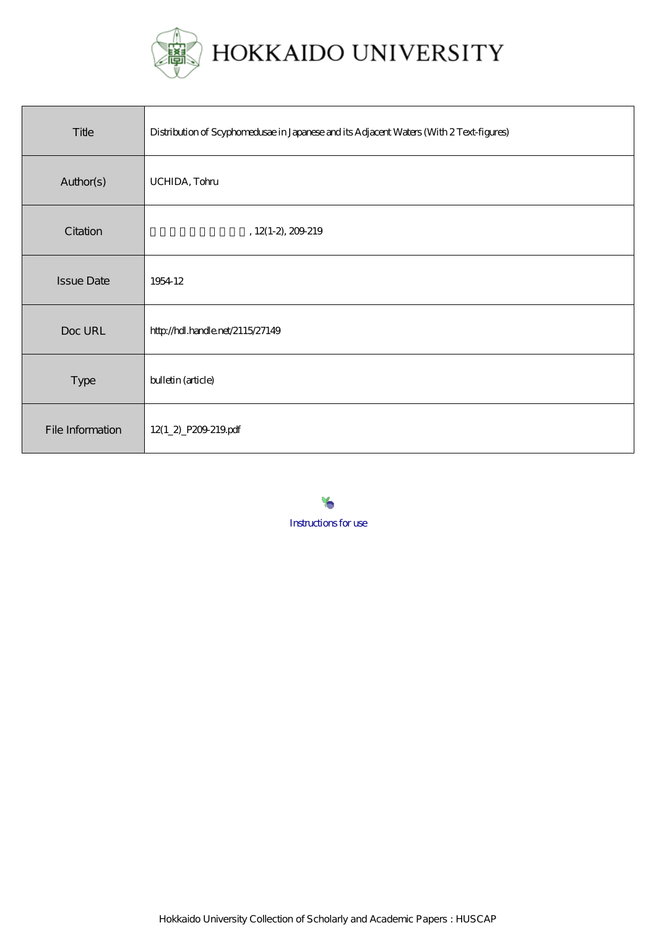

| Title             | Distribution of Scyphomedusae in Japanese and its Adjacent Waters (With 2 Text-figures) |
|-------------------|-----------------------------------------------------------------------------------------|
| Author(s)         | UCHIDA, Tohu                                                                            |
| Citation          | $, 12(1-2, 209-219)$                                                                    |
| <b>Issue Date</b> | 1954 12                                                                                 |
| Doc URL           | http://hdl.handle.net/2115/27149                                                        |
| Type              | bulletin (article)                                                                      |
| File Information  | 12(1_2)_P209-219pdf                                                                     |

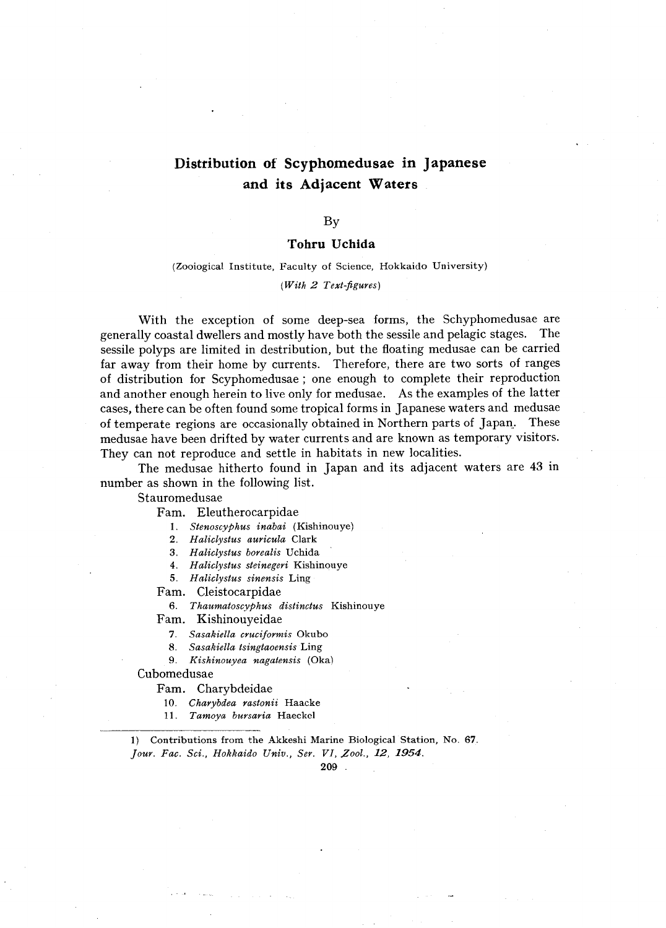# **Distribution of Scyphomedusae in Japanese and its Adjacent Waters**

By

#### **Tohru Uchida**

(Zooiogical Institute, Faculty of Science, Hokkaido University)

*(With* 2 *Text-figures)* 

With the exception of some deep-sea forms, the Schyphomedusae are generally coastal dwellers and mostly have both the sessile and pelagic stages. The sessile polyps are limited in destribution, but the floating medusae can be carried far away from their home by currents. Therefore, there are two sorts of ranges of distribution for Scyphomedusae; one enough to complete their reproduction and another enough herein to live only for medusae. As the examples of the latter cases, there can be often found some tropical forms in Japanese waters and medusae of temperate regions are occasionally obtained in Northern parts of Japan.. These medusae have been drifted by water currents and are known as temporary visitors. They can not reproduce and settle in habitats in new localities.

The medusae hitherto found in Japan and its adjacent waters are 43 in number as shown in the following list.

Stauromedusae

Fam. Eleutherocarpidae

1. *Stenoscyphus inabai* (Kishinouye)

*2. Haliclystus auricula* Clark

- *3. Haliclystus borealis* Uchida
- *4. Haliclystus steinegeri* Kishinouye
- *5. Haliclystus sinensis* Ling

Fam. Cleistocarpidae

*6. Thaumatoscyphus distinctus* Kishinouye

Fam. Kishinouyeidae

- *7. Sasakiella cruciformis* Okubo
- *8. Sasakiella tsingtaoensis* Ling
- *9. Kishinouyea nagatensis* (Oka)

### Cubomedusae

Fam. Charybdeidae

*10. Charybdea rastonii* Haacke

11. Tamoya bursaria Haeckel

1) Contributions from the Akkeshi Marine Biological Station, No. 67. *Jour. Fac. Sci., Hokkaido Univ., Ser. VI, Zool.,* 12, 1954.

209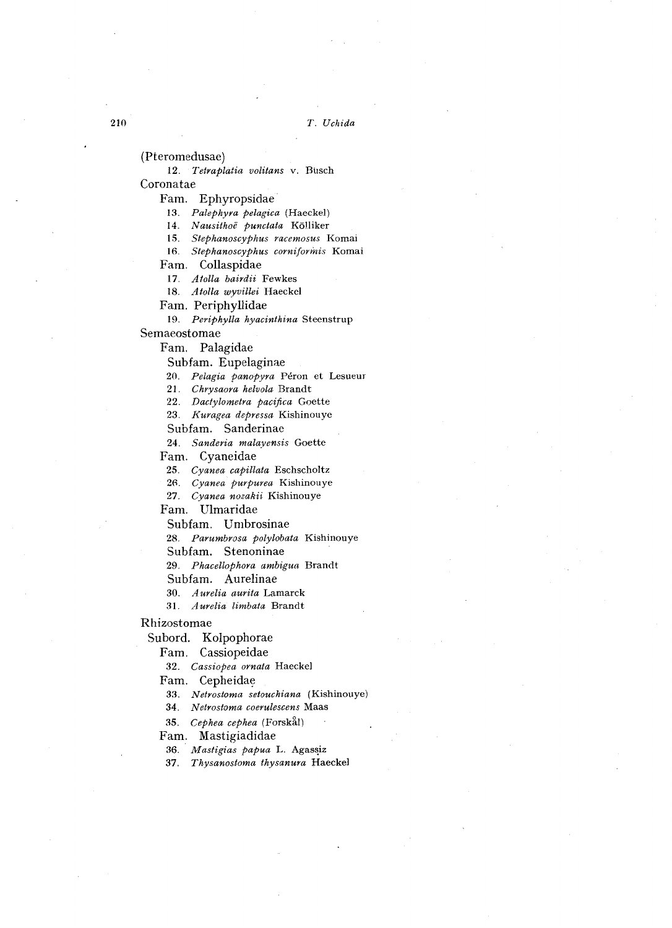(Pteromedusae)

*12. Tetraplatia volitans* v. Busch Coronatae

Fam. Ephyropsidae

*13. Palephyra pelagica* (Haeckel)

*14. Nausithoe punctata* Kolliker

15. Stephanoscyphus racemosus Komai

16. Stephanoscyphus corniformis Komai

Fam. Collaspidae

*17. Atalla bairdii* Fewkes

*18. Atalla wyvillei* Haeckel

Fam. Periphyllidae

*19. Periphylla hyacinthina* Steenstrup

Semaeostomae

Fam. Palagidae

Subfam. Eupelaginae

*20. Pelagia panopyra* Peron et Lesueur

*21. Chrysaora helvola* Brandt

*22. Dactylometra pacifica* Goette

*23. Kuragea depressa* Kishinouye

Subfam. Sanderinae

*24. Sanderia malayensis* Goette

Fam. Cyaneidae

*25. Cyanea capillata* Eschscholtz

*2(;. Cyanea purpurea* Kishinouye

*27. Cyanea nozakii* Kishinouye

Fam. Ulmaridae

Subfam. Umbrosinae

*28. Parumbrosa polylobata* Kishinouye

Subfam. Stenoninae

*29. Phacellophora ambigua* Brandt

Subfam. Aurelinae

*30. Aurelia aurita* Lamarck

*31. Aurelia limbata* Brandt

#### Rhizostomae

Subord. Kolpophorae

Fam. Cassiopeidae

*32. Cassiopea ornata* Haeckel

Fam. Cepheidae

*33. Netrostoma setouchiana* (Kishinouye)

*34. N etrostoma coerulescens* Maas

35. Cephea cephea (Forskål)

Fam. Mastigiadidae

36. Mastigias papua L. Agassiz

*37. Thysanostoma thysanura* Haeckel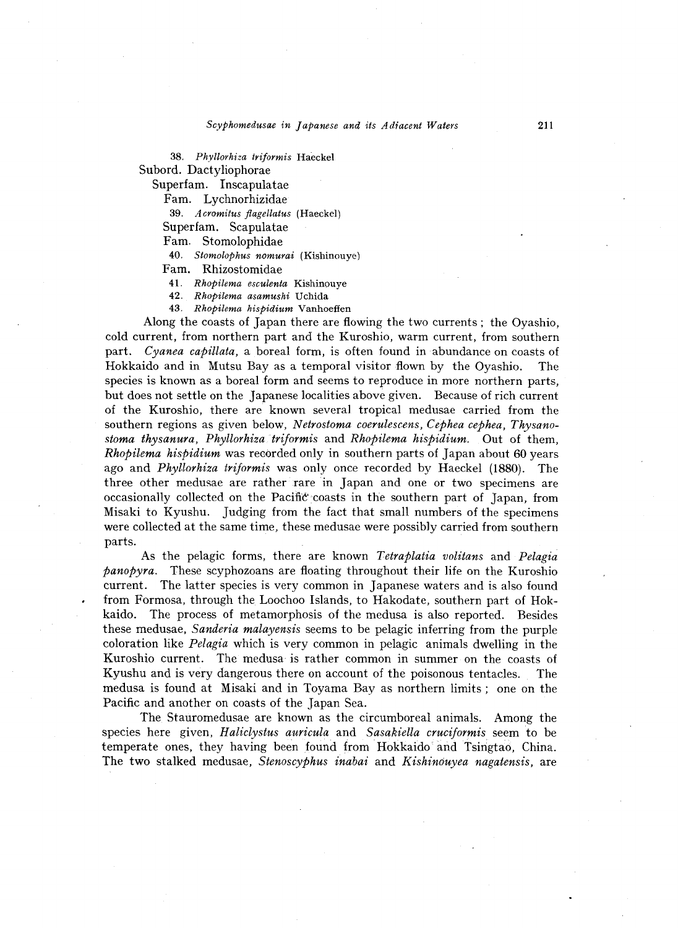*38. Phyllorhiza triformis* Haeckel Subord. Dactyliophorae

Superfam. Inscapulatae

Fam. Lychnorhizidae

*39. Acromitus flagellatus* (Haeckel)

Superfam. Scapulatae

Fam. Stomolophidae

*40. Stomolophus nomurai* (Kishinouye)

Fam. Rhizostomidae

*41. Rhopilema esculenta* Kishinouye

*42. Rhopilema asamushi* Uchida

*43. Rhopilema hispidium* Vanhoeffen

Along the coasts of Japan there are flowing the two currents; the Oyashio, cold current, from northern part and the Kuroshio, warm current, from southern part. *Cyanea capillata,* a boreal form, is often found in abundance on coasts of Hokkaido and in Mutsu Bay as a temporal visitor flown by the Oyashio. The species is known as a boreal form and seems to reproduce in more northern parts, but does not settle on the Japanese localities above given. Because of rich current of the Kuroshio, there are known several tropical medusae carried from the southern regions as given below, *Netrostoma coerulescens, Cephea cephea, Thysanostoma thysanura, Phyllorhizatriformis* and *Rhopilema hispidium.* Out of them, *Rhopilema hispidium* was recorded only in southern parts of Japan about 60 years ago and *Phyllorhiza triformis* was only once recorded by Haeckel (1880). The three other medusae are rather rare in Japan and one or two specimens are occasionally collected on the Pacific coasts in the southern part of Japan, from Misaki to Kyushu. Judging from the fact that small numbers of the specimens were collected at the same time, these medusae were possibly carried from southern parts.

As the pelagic forms, there are known *Tetraplatia volitans* and *Pelagia panopyra.* These scyphozoans are floating throughout their life on the Kuroshio current. The latter species is very common in Japanese waters and is also found from Formosa, through the Loochoo Islands, to Hakodate, southern part of Hokkaido. The process of metamorphosis of the medusa is also reported. Besides these medusae, *Sanderia malayensis* seems to be pelagic inferring from the purple coloration like *Pelagia* which is very common in pelagic animals dwelling in the Kuroshio current. The medusa is rather common in summer on the coasts of Kyushu and is very dangerous there on account of the poisonous tentacles. The medusa is found at Misaki and in Toyama Bay as northern limits; one on the Pacific and another on coasts of the Japan Sea.

The Stauromedusae are known as the circumboreal animals. Among the species here given, *Haliclystus auricula* and *Sasakiella cruciformis* seem to be temperate ones, they having been found from Hokkaido and Tsingtao, China. The two stalked medusae, *StenoscYPhus inabai* and *Kishinduyea nagatensis,* are

211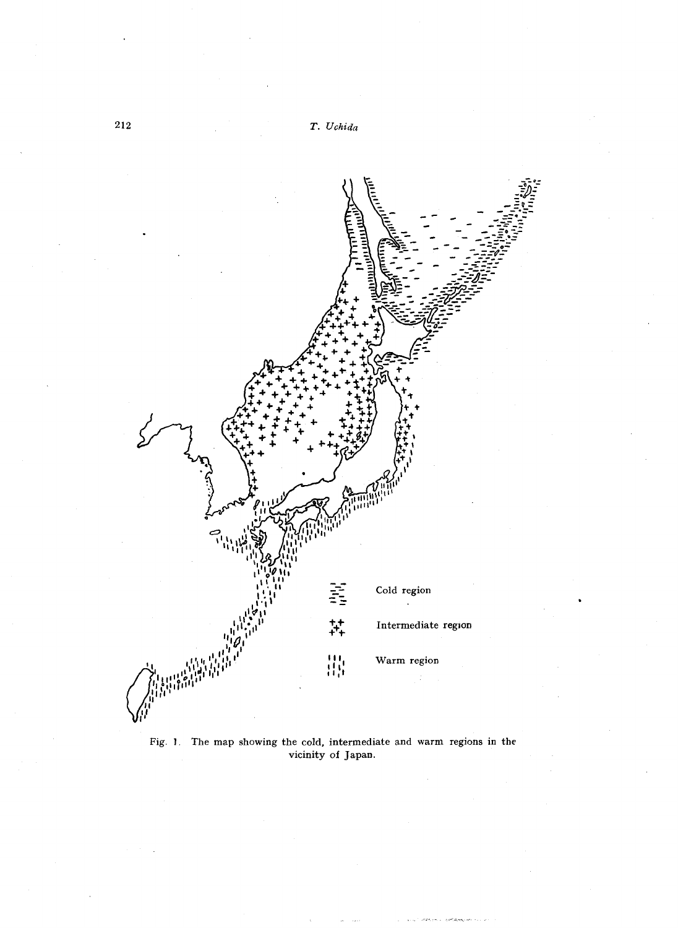

Fig. J. The map showing the cold, intermediate and warm regions in the vicinity of Japan.

212 *T. Uchida*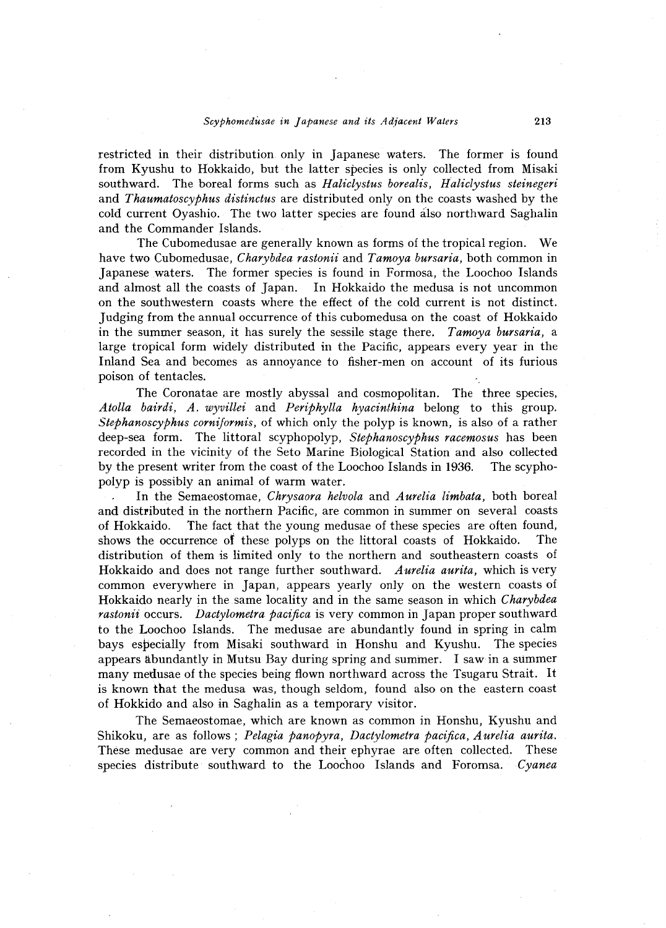#### *SCYPhomedusae in Japanese and its A diacent Waters* 213

restricted in their distribution only in Japanese waters. The former is found from Kyushu to Hokkaido, but the latter species is only collected from Misaki southward. The boreal forms such as *Haliclystus borealis, Haliclystus steinegeri*  and *Thaumatoscyphus distinctus* are distributed only on the coasts washed by the cold current Oyashio. The two latter species are found aJso northward Saghalin and the Commander Islands.

The Cubomedusae are generally known as forms of the tropical region. We have two Cubomedusae, *Charybdea rastonii* and *Tamoya bursaria,* both common in Japanese waters. The former species is found in Formosa, the Loochoo Islands and almost all the coasts of Japan. In Hokkaido the medusa is not uncommon on the southwestern coasts where the effect of the cold current is not distinct. Judging from the annual occurrence of this cubomedusa on the coast of Hokkaido in the summer season, it has surely the sessile stage there. *Tamoya bursaria,* a large tropical form widely distributed in the Pacific, appears every year in the Inland Sea and becomes as annoyance to fisher-men on account of its furious poison of tentacles.

The Coronatae are mostly abyssal and cosmopolitan. The three species, *Atolla bairdi, A. wyvillei* and *Periphylla hyacinthina* belong to this group. *Stephanoscyphus corniformis,* of which only the polyp is known, is also of a rather deep-sea form. The littoral scyphopolyp, *Stephanoscyphus racemosus* has been recorded in the vicinity of the Seto Marine Biological Station and also collected by the present writer from the coast of the Loochoo Islands in 1936. The scyphopolyp is possibly an animal of warm water.

In the Semaeostomae, *Chrysaora helvola* and *Aurelia limbata,* both boreal and distributed in the northern Pacific, are common in summer on several coasts of Hokkaido. The fact that the young medusae of these species are often found, shows the occurrence of these polyps on the littoral coasts of Hokkaido. The distribution of them is limited only to the northern and southeastern coasts of Hokkaido and does not range further southward. *Aurelia aurita,* which is very common everywhere in Japan, appears yearly only on the western coasts of Hokkaido nearly in the same locality and in the same season in which *Charybdea rastonii* occurs. *Dactylometra pacifica* is very common in Japan proper southward to the Loochoo Islands. The medusae are abundantly found in spring in calm bays especially from Misaki southward in Honshu and Kyushu. The species appears abundantly in Mutsu Bay during spring and summer. I saw in a summer many medusae of the species being flown northward across the Tsugaru Strait. It is known that the medusa was, though seldom, found also on the eastern coast of Hokkido and also in Saghalin as a temporary visitor.

The Semaeostomae, which are known as common in Honshu, Kyushu and Shikoku, are as follows; *Pelagia panopyra, Dactylometra pacifica, Aurelia aurita.*  These medusae are very common and their ephyrae are often collected. These species distribute southward to the Loochoo Islands and Foromsa. *Cyanea*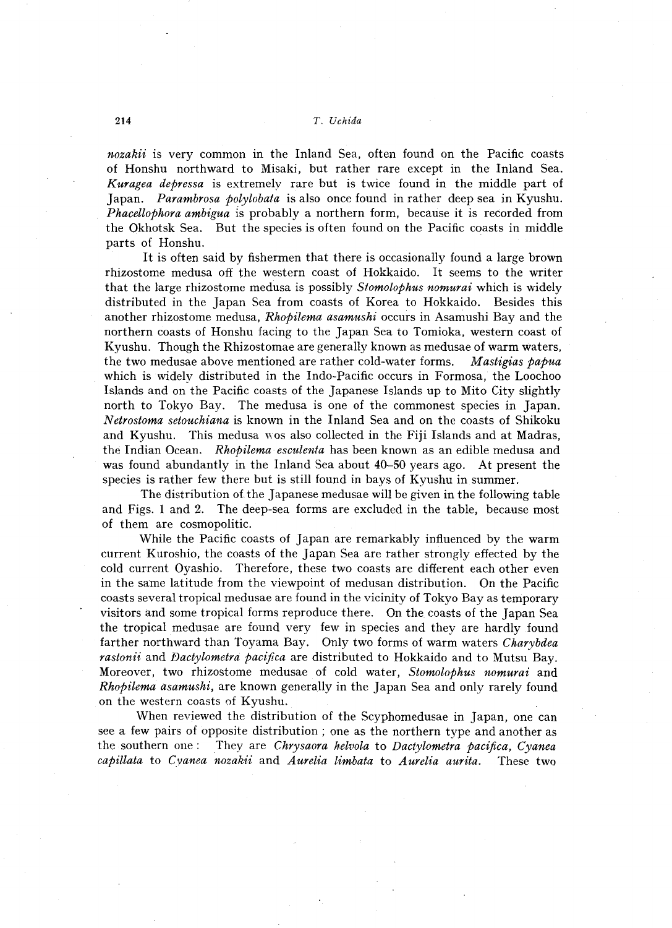*nozakii* is very common in the Inland Sea, often found on the Pacific coasts of Honshu northward to Misaki, but rather rare except in the Inland Sea. *Kuragea depressa* is extremely rare but is twice found in the middle part of Japan. *Parambrosa polylobata* is also once found in rather deep sea in Kyushu. *Phacellophora ambigua* is probably a northern form, because it is recorded from the Okhotsk Sea. But the species is often found on the Pacific coasts in middle parts of Honshu.

It is often said by fishermen that there is occasionally found a large brown rhizostome medusa off the western coast of Hokkaido. It seems to the writer that the large rhizostome medusa is possibly *Stomolophus nomurai* which is widely distributed in the Japan Sea from coasts of Korea to Hokkaido. Besides this another rhizostome medusa, *Rhopilema asamushi* occurs in Asamushi Bay and the northern coasts of Honshu facing to the Japan Sea to Tomioka, western coast of Kyushu. Though the Rhizostomae are generally known as medusae of warm waters, the two medusae above mentioned are rather cold-water forms. *M astigias papua*  which is widely distributed in the Indo-Pacific occurs in Formosa, the Loochoo Islands and on the Pacific coasts of the Japanese Islands up to Mito City slightly north to Tokyo Bay. The medusa is one of the commonest species in Japan. *N etrostoma setouchiana* is known in the Inland Sea and on the coasts of Shikoku and Kyushu. This medusa wos also collected in the Fiji Islands and at Madras, the Indian Ocean. *Rhopilema esculenta* has been known as an edible medusa and was found abundantly in the Inland Sea about 40-50 years ago. At present the species is rather few there but is still found in bays of Kyushu in summer.

The distribution of the Japanese medusae will be given in the following table and Figs. 1 and 2. The deep-sea forms are excluded in the table, because most of them are cosmopolitic.

While the Pacific coasts of Japan are remarkably influenced by the warm current Kuroshio, the coasts of the Japan Sea are rather strongly effected by the cold current Oyashio. Therefore, these two coasts are different each other even in the same latitude from the viewpoint of medusan distribution. On the Pacific coasts several tropical medusae are found in the vicinity of Tokyo Bay as temporary visitors and some tropical forms reproduce there. On the coasts of the Japan Sea the tropical medusae are found very few in species and they are hardly found farther northward than Toyama Bay. Only two forms of warm waters *Charybdea rastonii* and *Dactylometra pacifica* are distributed to Hokkaido and to Mutsu Bay. Moreover, two rhizostome medusae of cold water, *Stomolophus nomurai* and *Rhopilema asamushi,* are known generally in the Japan Sea and only rarely found on the western coasts of Kyushu.

When reviewed the distribution of the Scyphomedusae in Japan, one can see a few pairs of opposite distribution; one as the northern type and another as the southern one: They are *Chrysaora helvola* to *Dactylometra pacifica*, *Cyanea* They are *Chrysaora helvola* to *Dactylometra pacifica, Cyanea capillata* to *Cyanea nozakii* and *Aurelia limbata* to *Aurelia aurita.* These two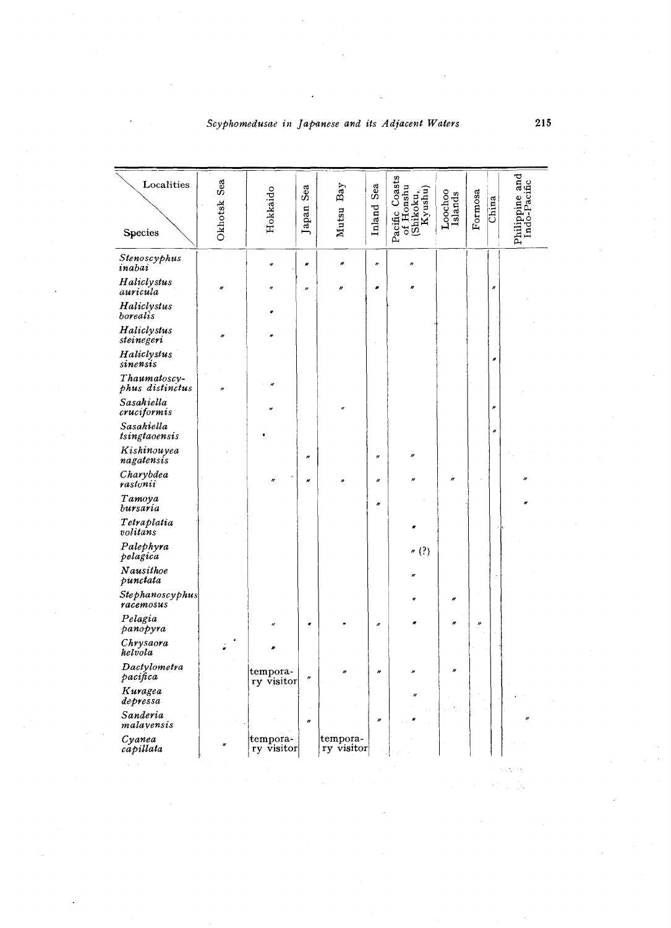Scyphomedusae in Japanese and its Adjacent Waters

| Localities<br>Species           | Sea<br>Okhotsk | Hokkaido               | Sea<br>Japan      | Bay<br>Mutsu           | Sea<br>Inland | Pacific Coasts<br>of Honshu<br>(Shikoku,<br>Kyushu) | Loochoo<br>Islands | Formosa | China | Philippine and<br>Indo-Pacific |
|---------------------------------|----------------|------------------------|-------------------|------------------------|---------------|-----------------------------------------------------|--------------------|---------|-------|--------------------------------|
| Stenoscyphus<br>inabai          |                |                        | $\pmb{\omega}$    | n                      | H             | u                                                   |                    |         |       |                                |
| Haliclystus<br>auricula         |                |                        | $^{\prime\prime}$ | H                      | ø             |                                                     |                    |         | n     |                                |
| Haliclystus<br>borealis         |                |                        |                   |                        |               |                                                     |                    |         |       |                                |
| Haliclystus<br>steinegeri       |                |                        |                   |                        |               |                                                     |                    |         |       |                                |
| Haliclystus<br>sinensis         |                |                        |                   |                        |               |                                                     |                    |         | Ħ     |                                |
| Thaumatoscy-<br>phus distinctus | $\theta$       |                        |                   |                        |               |                                                     |                    |         |       |                                |
| Sasakiella<br>cruciformis       |                |                        |                   |                        |               |                                                     |                    |         | n     |                                |
| Sasakiella<br>tsingtaoensis     |                |                        |                   |                        |               |                                                     |                    |         | n     |                                |
| Kishinouyea<br>nagatensis       |                |                        | $\theta$          |                        | $\theta$      | n                                                   |                    |         |       |                                |
| Charybdea<br>rastonii           |                |                        | n                 |                        | $\theta$      |                                                     |                    |         |       |                                |
| Tamoya<br>bursaria              |                |                        |                   |                        | h             |                                                     |                    |         |       |                                |
| Tetraplatia<br>volitans         |                |                        |                   |                        |               |                                                     |                    |         |       |                                |
| Palephyra<br>pelagica           |                |                        |                   |                        |               | (?)                                                 |                    |         |       |                                |
| Nausithoe<br>punctata           |                |                        |                   |                        |               | n                                                   |                    |         |       |                                |
| Stephanoscyphus<br>racemosus    |                |                        |                   |                        |               |                                                     | ø                  |         |       |                                |
| Pelagia<br>panopyra             |                |                        |                   |                        | n             |                                                     | n                  | n       |       |                                |
| Chrysaora<br>helvola            |                |                        |                   |                        |               |                                                     |                    |         |       |                                |
| Dactylometra<br>pacifica        |                | tempora-<br>ry visitor | $^{\prime\prime}$ |                        | n             |                                                     | n                  |         |       |                                |
| Kuragea<br>depressa             |                |                        |                   |                        |               | n                                                   |                    |         |       |                                |
| Sanderia<br>malavensis          |                |                        | $\theta$          |                        | u             |                                                     |                    |         |       |                                |
| Cyanea<br>capillata             |                | tempora-<br>ry visitor |                   | tempora-<br>ry visitor |               |                                                     |                    |         |       |                                |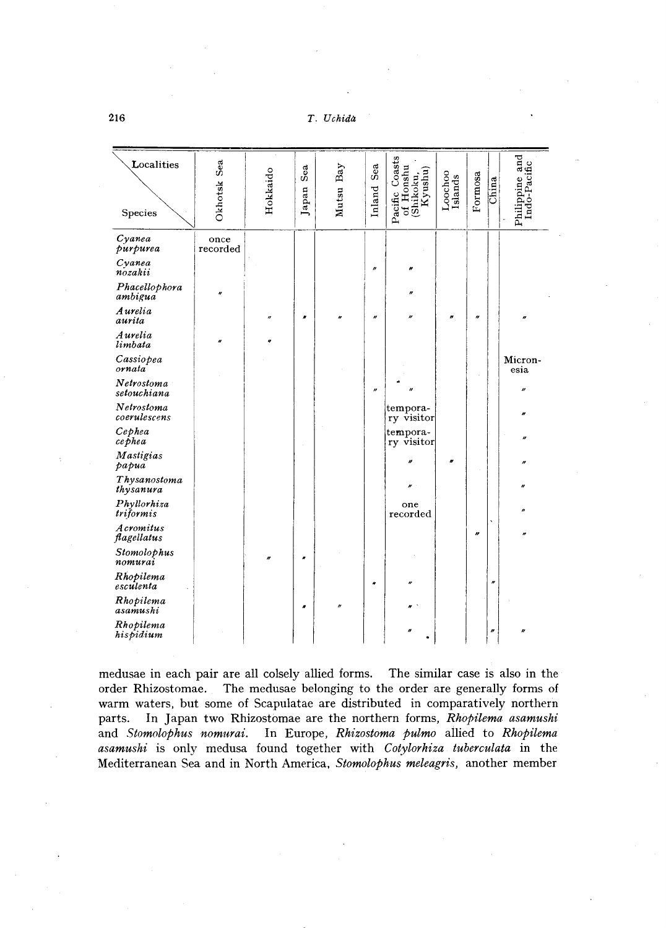T. Uchida

| Localities<br>Species      | Okhotsk Sea      | Hokkaido | Sea<br>Japan | Mutsu Bay | Sea<br>Inland     | Coasts<br>of Honshu<br>(Shikoku,<br>Kyushu)<br>Pacific | Loochoo<br>Islands | Formosa               | China               | Philippine and<br>Indo-Pacific |
|----------------------------|------------------|----------|--------------|-----------|-------------------|--------------------------------------------------------|--------------------|-----------------------|---------------------|--------------------------------|
| $C$ yanea<br>purpurea      | once<br>recorded |          |              |           |                   |                                                        |                    |                       |                     |                                |
| $C$ vanea<br>nozakii       |                  |          |              |           | $\boldsymbol{''}$ | w                                                      |                    |                       |                     |                                |
| Phacellophora<br>ambigua   | H                |          |              |           |                   | n                                                      |                    |                       |                     |                                |
| <b>Aurelia</b><br>aurita   |                  | $\theta$ | n            | u         | n                 | n                                                      | n                  | $\boldsymbol{\theta}$ |                     | n                              |
| Aurelia<br>limbata         | n                |          |              |           |                   |                                                        |                    |                       |                     |                                |
| Cassiopea<br>ornata        |                  |          |              |           |                   |                                                        |                    |                       |                     | Micron-<br>esia                |
| Netrostoma<br>setouchiana  |                  |          |              |           | n                 |                                                        |                    |                       |                     | v                              |
| Netrostoma<br>coerulescens |                  |          |              |           |                   | tempora-<br>ry visitor                                 |                    |                       |                     |                                |
| Cephea<br>cephea           |                  |          |              |           |                   | tempora-<br>ry visitor                                 |                    |                       |                     |                                |
| Mastigias<br>papua         |                  |          |              |           |                   | n                                                      | H                  |                       |                     |                                |
| Thysanostoma<br>thysanura  |                  |          |              |           |                   |                                                        |                    |                       |                     |                                |
| Phyllorhiza<br>triformis   |                  |          |              |           |                   | one<br>recorded                                        |                    |                       |                     |                                |
| Acromitus<br>flagellatus   |                  |          |              |           |                   |                                                        |                    | $\boldsymbol{r}$      |                     |                                |
| Stomolophus<br>nomurai     |                  |          |              |           |                   |                                                        |                    |                       |                     |                                |
| Rhopilema<br>esculenta     |                  |          |              |           | ٠                 | n                                                      |                    |                       | $\pmb{\mathcal{N}}$ |                                |
| Rhopilema<br>asamushi      |                  |          | H            | n         |                   |                                                        |                    |                       |                     |                                |
| Rhopilema<br>hispidium     |                  |          |              |           |                   |                                                        |                    |                       | n                   | n                              |

medusae in each pair are all colsely allied forms. The similar case is also in the order Rhizostomae. The medusae belonging to the order are generally forms of warm waters, but some of Scapulatae are distributed in comparatively northern parts. In Japan two Rhizostomae are the northern forms, Rhopilema asamushi and Stomolophus nomurai. In Europe, Rhizostoma pulmo allied to Rhopilema asamushi is only medusa found together with Cotylorhiza tuberculata in the Mediterranean Sea and in North America, Stomolophus meleagris, another member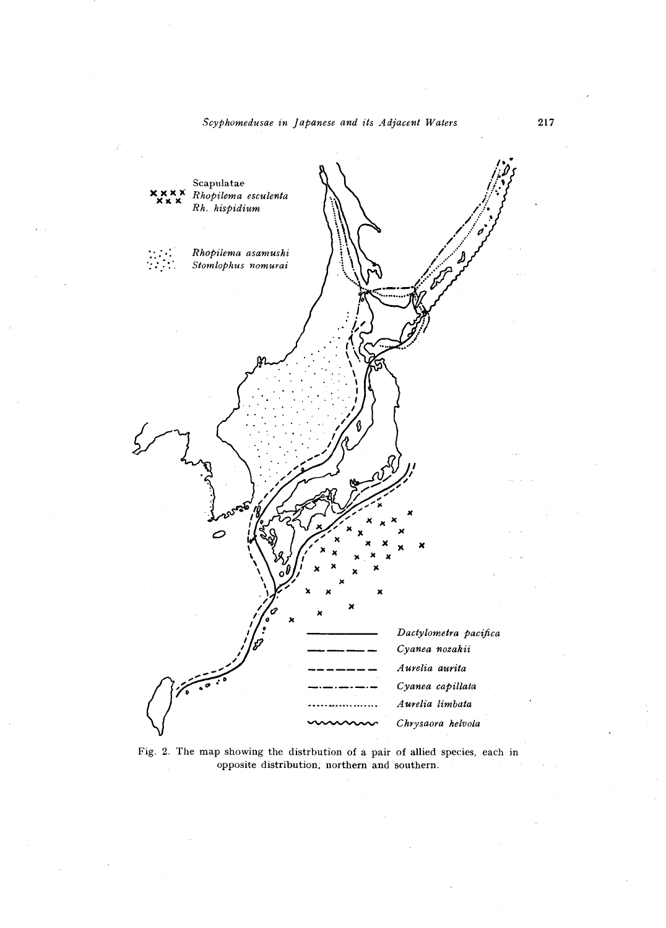## Scyphomedusae in Japanese and its Adjacent Waters



Fig. 2. The map showing the distrbution of a pair of allied species, each in opposite distribution, northern and southern.

217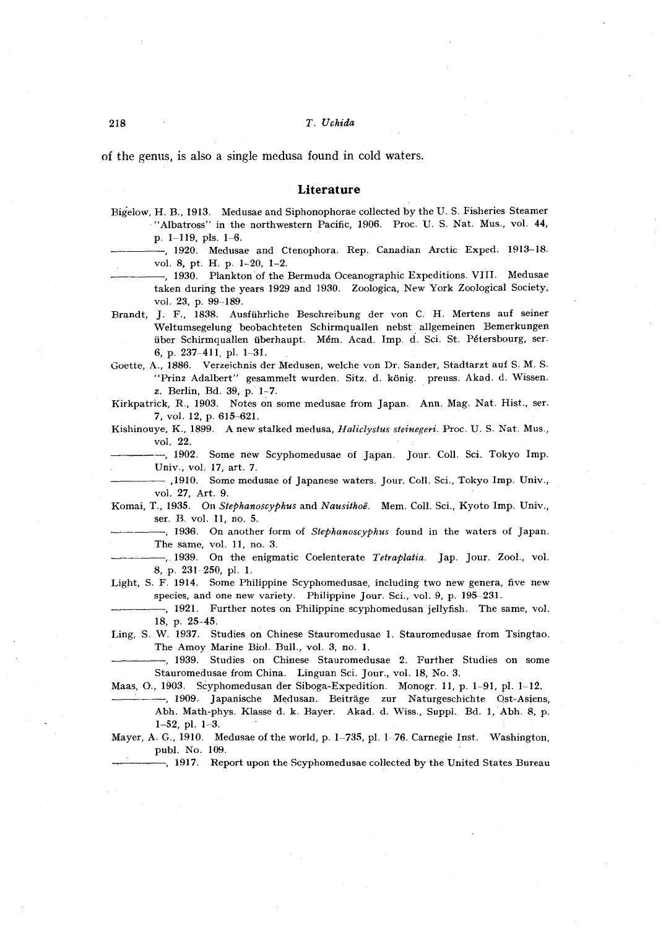of the genus, is also a single medusa found in cold waters.

#### **Literature**

- Bigelow, H. B., 1913. Medusae and Siphonophorae collected by the U. S. Fisheries Steamer ""Albatross" in the northwestern Pacific, 1906. Proc. U. S. Nat. Mus., vol. 44, p. 1-119, pis. 1-6.
- -, 1920. Medusae and Ctenophora. Rep. Canadian Arctic Exped. 1913-18. vol. 8, pt. H. p. 1-20, 1-2.
	- -, 1930. Plankton of the Bermuda Oceanographic Expeditions. VIII. Medusae taken during the years 1929 and 1930. Zoologica, New York Zoological Society, vol. 23, p. 99-189.
- Brandt, J. F., 1838. Ausftihrliche Beschreibung der von C. H. Mertens auf seiner Weltumsegelung beobachteten Schirmquallen nebst allgemeinen Bemerkungen tiber Schirmquallen tiberhaupt. Mem. Acad. Imp. d. Sci. St. Petersbourg, ser. 6, p. 237-411, pI. 1-31.
- Goette, A., 1886. Verzeichnis der Medusen, welche von Dr. Sander, Stadtarzt auf S. M. S. "Prinz Adalbert" gesammelt wurden. Sitz. d. könig. preuss. Akad. d. Wissen. z. Berlin, Bd. 39, p. 1~7.
- Kirkpatrick, R., 1903. Notes on some medusae from Japan. Ann. Mag. Nat. Rist., ser. 7, vol. 12, p. 615-621.
- Kishinouye, K., 1899. A new stalked medusa, *Haliclystus steinegeri.* Proc. U. S. Nat. Mus., vol. 22.

--, 1902. Some new Scyphomedusae of Japan. Jour. Coll. Sci. Tokyo Imp. Univ., vol. 17, art. 7.

----- ,1910. Some medusae of Japanese waters. Jour. Coll. Sci., Tokyo Imp. Univ., vol. 27, Art. 9.

Komai, T., 1935. On *5tephanoscYPhus* and *Nausithoe.* Mem. Coil. Sci., Kyoto Imp. Univ., ser. B. vol. 11, no. 5.

- -----, 1936. On another form of *5tephanoscyphus* found in the waters of Japan. The same, vol. 11, no. 3.
- ----, 1939. On the enigmatic Coelenterate *Tetraplatia.* Jap. Jour. Zool., vol. 8, p. 231 250, pI. 1.
- Light, S. F. 1914. Some Philippine Scyphomedusae, including two new genera, five new species, and one new variety. Philippine Jour. Sci., vol. 9, p. 195-231.
- -, 1921. Further notes on Philippine scyphomedusan jellyfish. The same, vol. 18, p. 25-45.
- Ling, S. W. 1937. Studies on Chinese Stauromedusae 1. Stauromedusae from Tsingtao. The Amoy Marine BioI. Bull., vol. 3, no. 1.
	- -----, 1939. Studies on Chinese Stauromedusae 2. Further Studies on some Stauromedusae from China. Linguan Sci. Jour., vol. 18, No.3.

Maas, 0., 1903. Scyphomedusan der Siboga-Expedition. Monogr. 11, p. 1-91, pI. 1-12.

---, 1909. Japanische Medusan. Beiträge zur Naturgeschichte Ost-Asiens, Abh. Math-phys. Klasse d. k. Bayer. Akad. d. Wiss., Suppl. Bd. 1, Abh. 8, p. I-52, pI. 1-3.

Mayer, A. G., 1910. Medusae of the world, p. 1-735, pl. 1-76. Carnegie Inst. Washington, publ. No. 109.

-, 1917. Report upon the Scyphomedusae collected by the United States Bureau